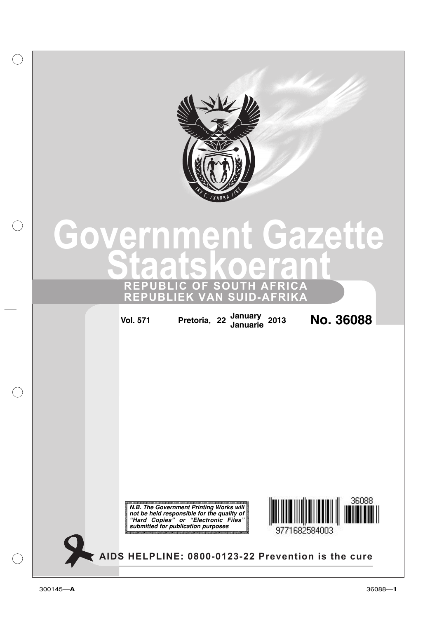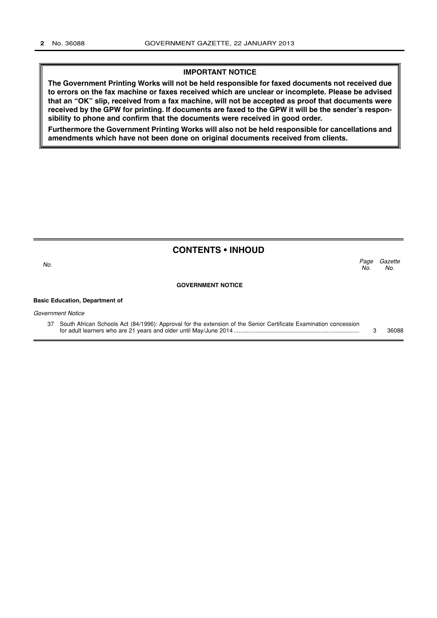#### **IMPORTANT NOTICE**

**The Government Printing Works will not be held responsible for faxed documents not received due to errors on the fax machine or faxes received which are unclear or incomplete. Please be advised that an "OK" slip, received from a fax machine, will not be accepted as proof that documents were received by the GPW for printing. If documents are faxed to the GPW it will be the sender's responsibility to phone and confirm that the documents were received in good order.**

**Furthermore the Government Printing Works will also not be held responsible for cancellations and amendments which have not been done on original documents received from clients.**

|                                       | <b>CONTENTS • INHOUD</b>                                                                                         |             |                |
|---------------------------------------|------------------------------------------------------------------------------------------------------------------|-------------|----------------|
| No.                                   |                                                                                                                  | Page<br>No. | Gazette<br>No. |
|                                       | <b>GOVERNMENT NOTICE</b>                                                                                         |             |                |
| <b>Basic Education, Department of</b> |                                                                                                                  |             |                |
| Government Notice                     |                                                                                                                  |             |                |
| 37                                    | South African Schools Act (84/1996): Approval for the extension of the Senior Certificate Examination concession | З           | 36088          |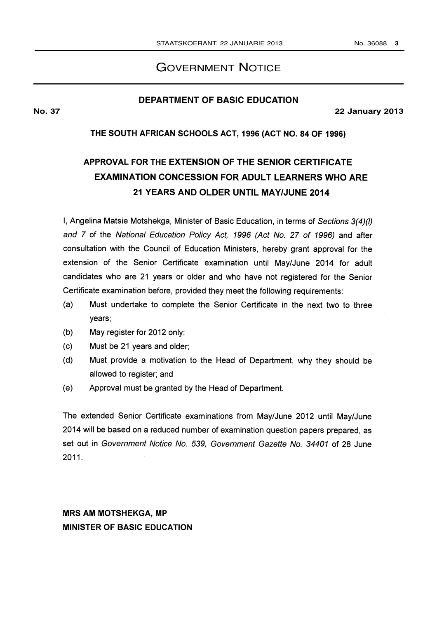## GOVERNMENT NOTICE

#### **DEPARTMENT OF BASIC EDUCATION**

**No. 37 22 January 2013**

### THE SOUTH AFRICAN SCHOOLS ACT, 1996 (ACT NO. 84 OF 1996)

# APPROVAL FOR THE EXTENSION OF THE SENIOR CERTIFICATE EXAMINATION CONCESSION FOR ADULT LEARNERS WHO ARE 21 YEARS AND OLDER UNTIL MAY/JUNE 2014

I, Angelina Matsie Motshekga, Minister of Basic Education, in terms of Sections 3(4)(I) and 7 of the National Education Policy Act, 1996 (Act No. 27 of 1996) and after consultation with the Council of Education Ministers, hereby grant approval for the extension of the Senior Certificate examination until May/June 2014 for adult candidates who are 21 years or older and who have not registered for the Senior Certificate examination before, provided they meet the following requirements:

- (a) Must undertake to complete the Senior Certificate in the next two to three years;
- (b) May register for 2012 only;
- (c) Must be 21 years and older;
- (d) Must provide a motivation to the Head of Department, why they should be allowed to register; and
- (e) Approval must be granted by the Head of Department.

The extended Senior Certificate examinations from May/June 2012 until May/June 2014 will be based on a reduced number of examination question papers prepared, as set out in Government Notice No. 539, Government Gazette No. 34401 of 28 June 2011.

# MRS AM MOTSHEKGA, MP MINISTER OF BASIC EDUCATION